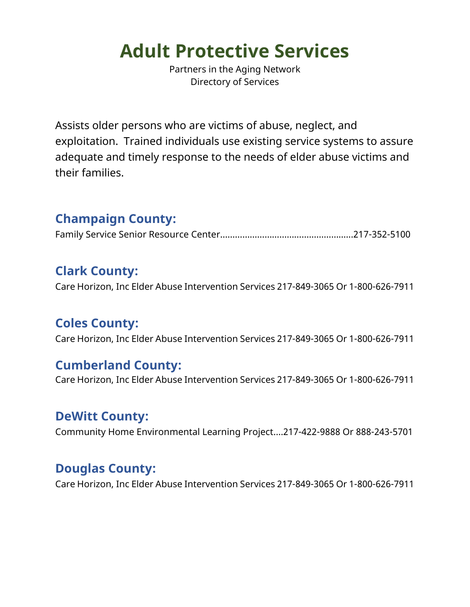# **Adult Protective Services**

Partners in the Aging Network Directory of Services

Assists older persons who are victims of abuse, neglect, and exploitation. Trained individuals use existing service systems to assure adequate and timely response to the needs of elder abuse victims and their families.

## **Champaign County:**

Family Service Senior Resource Center……………………………………………...217-352-5100

## **Clark County:**

Care Horizon, Inc Elder Abuse Intervention Services 217-849-3065 Or 1-800-626-7911

## **Coles County:**

Care Horizon, Inc Elder Abuse Intervention Services 217-849-3065 Or 1-800-626-7911

## **Cumberland County:**

Care Horizon, Inc Elder Abuse Intervention Services 217-849-3065 Or 1-800-626-7911

#### **DeWitt County:**

Community Home Environmental Learning Project….217-422-9888 Or 888-243-5701

## **Douglas County:**

Care Horizon, Inc Elder Abuse Intervention Services 217-849-3065 Or 1-800-626-7911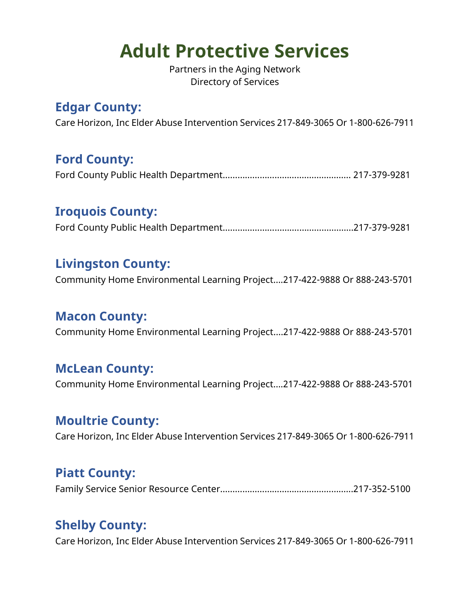# **Adult Protective Services**

Partners in the Aging Network Directory of Services

## **Edgar County:**

Care Horizon, Inc Elder Abuse Intervention Services 217-849-3065 Or 1-800-626-7911

## **Ford County:**

Ford County Public Health Department……………………………………………. 217-379-9281

#### **Iroquois County:**

Ford County Public Health Department………………………….……………….…217-379-9281

#### **Livingston County:**

Community Home Environmental Learning Project….217-422-9888 Or 888-243-5701

## **Macon County:**

Community Home Environmental Learning Project….217-422-9888 Or 888-243-5701

#### **McLean County:**

Community Home Environmental Learning Project….217-422-9888 Or 888-243-5701

#### **Moultrie County:**

Care Horizon, Inc Elder Abuse Intervention Services 217-849-3065 Or 1-800-626-7911

## **Piatt County:**

Family Service Senior Resource Center……………………………………………...217-352-5100

## **Shelby County:**

Care Horizon, Inc Elder Abuse Intervention Services 217-849-3065 Or 1-800-626-7911